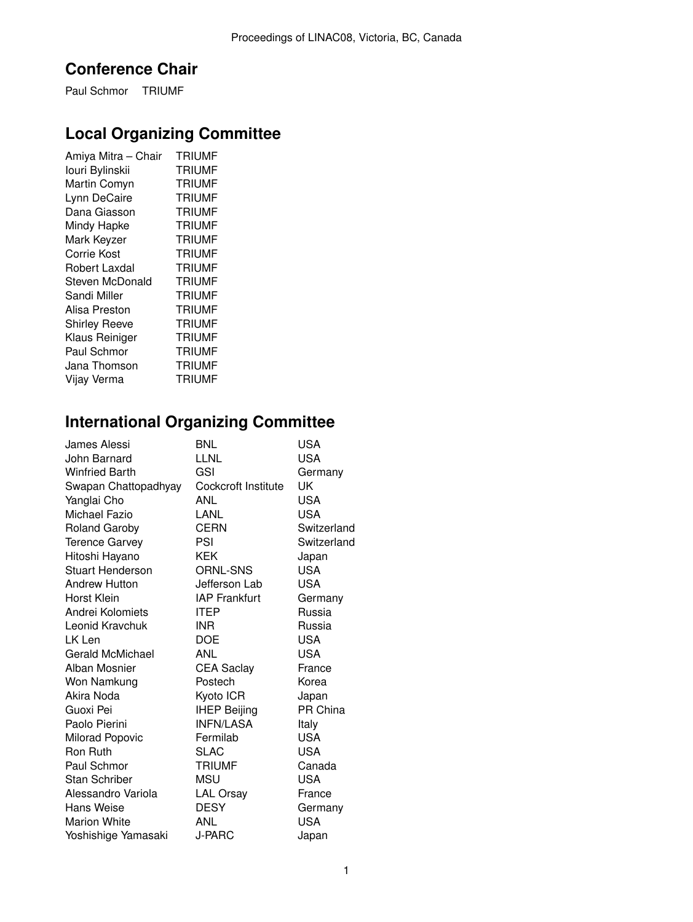## **Conference Chair**

Paul Schmor TRIUMF

## **Local Organizing Committee**

| Amiya Mitra - Chair  | <b>TRIUMF</b> |
|----------------------|---------------|
| louri Bylinskii      | <b>TRIUMF</b> |
| Martin Comyn         | <b>TRIUMF</b> |
| Lynn DeCaire         | <b>TRIUMF</b> |
| Dana Giasson         | <b>TRIUMF</b> |
| Mindy Hapke          | <b>TRIUMF</b> |
| Mark Keyzer          | <b>TRIUMF</b> |
| Corrie Kost          | <b>TRIUMF</b> |
| Robert Laxdal        | <b>TRIUMF</b> |
| Steven McDonald      | <b>TRIUMF</b> |
| Sandi Miller         | <b>TRIUMF</b> |
| Alisa Preston        | <b>TRIUMF</b> |
| <b>Shirley Reeve</b> | <b>TRIUMF</b> |
| Klaus Reiniger       | <b>TRIUMF</b> |
| Paul Schmor          | <b>TRIUMF</b> |
| Jana Thomson         | <b>TRIUMF</b> |
| Vijay Verma          | <b>TRIUMF</b> |

## **International Organizing Committee**

| James Alessi            | BNL                  | USA         |
|-------------------------|----------------------|-------------|
| John Barnard            | LLNL                 | USA         |
| <b>Winfried Barth</b>   | GSI                  | Germany     |
| Swapan Chattopadhyay    | Cockcroft Institute  | UK          |
| Yanglai Cho             | <b>ANL</b>           | USA         |
| Michael Fazio           | LANL                 | <b>USA</b>  |
| <b>Roland Garoby</b>    | CERN                 | Switzerland |
| <b>Terence Garvey</b>   | PSI                  | Switzerland |
| Hitoshi Hayano          | KEK                  | Japan       |
| Stuart Henderson        | <b>ORNL-SNS</b>      | <b>USA</b>  |
| <b>Andrew Hutton</b>    | Jefferson Lab        | <b>USA</b>  |
| Horst Klein             | <b>IAP Frankfurt</b> | Germany     |
| Andrei Kolomiets        | <b>ITEP</b>          | Russia      |
| Leonid Kravchuk         | INR                  | Russia      |
| LK Len                  | DOE                  | USA         |
| <b>Gerald McMichael</b> | ANL                  | USA         |
| Alban Mosnier           | <b>CEA Saclay</b>    | France      |
| Won Namkung             | Postech              | Korea       |
| Akira Noda              | Kyoto ICR            | Japan       |
| Guoxi Pei               | <b>IHEP Beijing</b>  | PR China    |
| Paolo Pierini           | <b>INFN/LASA</b>     | Italy       |
| Milorad Popovic         | Fermilab             | <b>USA</b>  |
| <b>Ron Ruth</b>         | SLAC                 | <b>USA</b>  |
| Paul Schmor             | <b>TRIUMF</b>        | Canada      |
| Stan Schriber           | MSU                  | USA         |
| Alessandro Variola      | <b>LAL Orsay</b>     | France      |
| Hans Weise              | <b>DESY</b>          | Germany     |
| <b>Marion White</b>     | ANL                  | <b>USA</b>  |
| Yoshishige Yamasaki     | J-PARC               | Japan       |